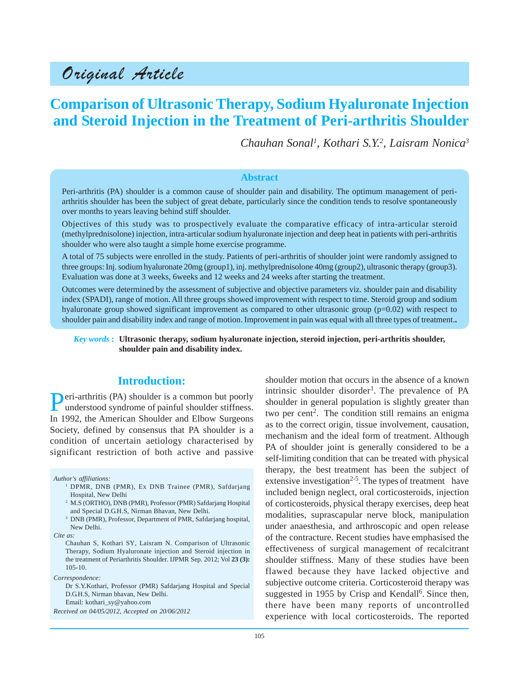## Original Article

## **Comparison of Ultrasonic Therapy, Sodium Hyaluronate Injection and Steroid Injection in the Treatment of Peri-arthritis Shoulder**

*Chauhan Sonal1 , Kothari S.Y.2 , Laisram Nonica3*

#### **Abstract**

Peri-arthritis (PA) shoulder is a common cause of shoulder pain and disability. The optimum management of periarthritis shoulder has been the subject of great debate, particularly since the condition tends to resolve spontaneously over months to years leaving behind stiff shoulder.

Objectives of this study was to prospectively evaluate the comparative efficacy of intra-articular steroid (methylprednisolone) injection, intra-articular sodium hyaluronate injection and deep heat in patients with peri-arthritis shoulder who were also taught a simple home exercise programme.

A total of 75 subjects were enrolled in the study. Patients of peri-arthritis of shoulder joint were randomly assigned to three groups: Inj. sodium hyaluronate 20mg (group1), inj. methylprednisolone 40mg (group2), ultrasonic therapy (group3). Evaluation was done at 3 weeks, 6weeks and 12 weeks and 24 weeks after starting the treatment.

Outcomes were determined by the assessment of subjective and objective parameters viz. shoulder pain and disability index (SPADI), range of motion. All three groups showed improvement with respect to time. Steroid group and sodium hyaluronate group showed significant improvement as compared to other ultrasonic group  $(p=0.02)$  with respect to shoulder pain and disability index and range of motion. Improvement in pain was equal with all three types of treatment.**.**

#### *Key words* **: Ultrasonic therapy, sodium hyaluronate injection, steroid injection, peri-arthritis shoulder, shoulder pain and disability index.**

#### **Introduction:**

**Peri-arthritis (PA) shoulder is a common but poorly** understood syndrome of painful shoulder stiffness. In 1992, the American Shoulder and Elbow Surgeons Society, defined by consensus that PA shoulder is a condition of uncertain aetiology characterised by significant restriction of both active and passive

*Author's affiliations:*

- <sup>1</sup> DPMR, DNB (PMR), Ex DNB Trainee (PMR), Safdarjang Hospital, New Delhi
- <sup>2</sup> M.S (ORTHO), DNB (PMR), Professor (PMR) Safdarjang Hospital and Special D.G.H.S, Nirman Bhavan, New Delhi.
- <sup>3</sup> DNB (PMR), Professor, Department of PMR, Safdarjang hospital, New Delhi.
- *Cite as:*
	- Chauhan S, Kothari SY, Laisram N. Comparison of Ultrasonic Therapy, Sodium Hyaluronate injection and Steroid injection in the treatment of Periarthritis Shoulder. IJPMR Sep. 2012; Vol **23 (3):** 105-10.

*Correspondence:*

Dr S.Y.Kothari, Professor (PMR) Safdarjang Hospital and Special D.G.H.S, Nirman bhavan, New Delhi. Email: kothari\_sy@yahoo.com

*Received on 04/05/2012, Accepted on 20/06/2012*

shoulder motion that occurs in the absence of a known intrinsic shoulder disorder<sup>1</sup>. The prevalence of PA shoulder in general population is slightly greater than two per cent<sup>2</sup>. The condition still remains an enigma as to the correct origin, tissue involvement, causation, mechanism and the ideal form of treatment. Although PA of shoulder joint is generally considered to be a self-limiting condition that can be treated with physical therapy, the best treatment has been the subject of extensive investigation<sup>2-5</sup>. The types of treatment have included benign neglect, oral corticosteroids, injection of corticosteroids, physical therapy exercises, deep heat modalities, suprascapular nerve block, manipulation under anaesthesia, and arthroscopic and open release of the contracture. Recent studies have emphasised the effectiveness of surgical management of recalcitrant shoulder stiffness. Many of these studies have been flawed because they have lacked objective and subjective outcome criteria. Corticosteroid therapy was suggested in 1955 by Crisp and Kendall<sup>6</sup>. Since then, there have been many reports of uncontrolled experience with local corticosteroids. The reported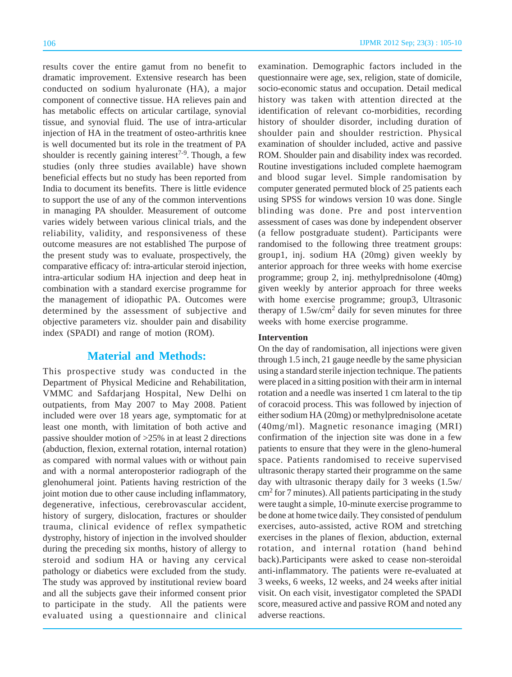results cover the entire gamut from no benefit to dramatic improvement. Extensive research has been conducted on sodium hyaluronate (HA), a major component of connective tissue. HA relieves pain and has metabolic effects on articular cartilage, synovial tissue, and synovial fluid. The use of intra-articular injection of HA in the treatment of osteo-arthritis knee is well documented but its role in the treatment of PA shoulder is recently gaining interest<sup>7-9</sup>. Though, a few studies (only three studies available) have shown beneficial effects but no study has been reported from India to document its benefits. There is little evidence to support the use of any of the common interventions in managing PA shoulder. Measurement of outcome varies widely between various clinical trials, and the reliability, validity, and responsiveness of these outcome measures are not established The purpose of the present study was to evaluate, prospectively, the comparative efficacy of: intra-articular steroid injection, intra-articular sodium HA injection and deep heat in combination with a standard exercise programme for the management of idiopathic PA. Outcomes were determined by the assessment of subjective and objective parameters viz. shoulder pain and disability index (SPADI) and range of motion (ROM).

#### **Material and Methods:**

This prospective study was conducted in the Department of Physical Medicine and Rehabilitation, VMMC and Safdarjang Hospital, New Delhi on outpatients, from May 2007 to May 2008. Patient included were over 18 years age, symptomatic for at least one month, with limitation of both active and passive shoulder motion of >25% in at least 2 directions (abduction, flexion, external rotation, internal rotation) as compared with normal values with or without pain and with a normal anteroposterior radiograph of the glenohumeral joint. Patients having restriction of the joint motion due to other cause including inflammatory, degenerative, infectious, cerebrovascular accident, history of surgery, dislocation, fractures or shoulder trauma, clinical evidence of reflex sympathetic dystrophy, history of injection in the involved shoulder during the preceding six months, history of allergy to steroid and sodium HA or having any cervical pathology or diabetics were excluded from the study. The study was approved by institutional review board and all the subjects gave their informed consent prior to participate in the study. All the patients were evaluated using a questionnaire and clinical examination. Demographic factors included in the questionnaire were age, sex, religion, state of domicile, socio-economic status and occupation. Detail medical history was taken with attention directed at the identification of relevant co-morbidities, recording history of shoulder disorder, including duration of shoulder pain and shoulder restriction. Physical examination of shoulder included, active and passive ROM. Shoulder pain and disability index was recorded. Routine investigations included complete haemogram and blood sugar level. Simple randomisation by computer generated permuted block of 25 patients each using SPSS for windows version 10 was done. Single blinding was done. Pre and post intervention assessment of cases was done by independent observer (a fellow postgraduate student). Participants were randomised to the following three treatment groups: group1, inj. sodium HA (20mg) given weekly by anterior approach for three weeks with home exercise programme; group 2, inj. methylprednisolone (40mg) given weekly by anterior approach for three weeks with home exercise programme; group3, Ultrasonic therapy of  $1.5w/cm<sup>2</sup>$  daily for seven minutes for three weeks with home exercise programme.

#### **Intervention**

On the day of randomisation, all injections were given through 1.5 inch, 21 gauge needle by the same physician using a standard sterile injection technique. The patients were placed in a sitting position with their arm in internal rotation and a needle was inserted 1 cm lateral to the tip of coracoid process. This was followed by injection of either sodium HA (20mg) or methylprednisolone acetate (40mg/ml). Magnetic resonance imaging (MRI) confirmation of the injection site was done in a few patients to ensure that they were in the gleno-humeral space. Patients randomised to receive supervised ultrasonic therapy started their programme on the same day with ultrasonic therapy daily for 3 weeks (1.5w/ cm2 for 7 minutes). All patients participating in the study were taught a simple, 10-minute exercise programme to be done at home twice daily. They consisted of pendulum exercises, auto-assisted, active ROM and stretching exercises in the planes of flexion, abduction, external rotation, and internal rotation (hand behind back).Participants were asked to cease non-steroidal anti-inflammatory. The patients were re-evaluated at 3 weeks, 6 weeks, 12 weeks, and 24 weeks after initial visit. On each visit, investigator completed the SPADI score, measured active and passive ROM and noted any adverse reactions.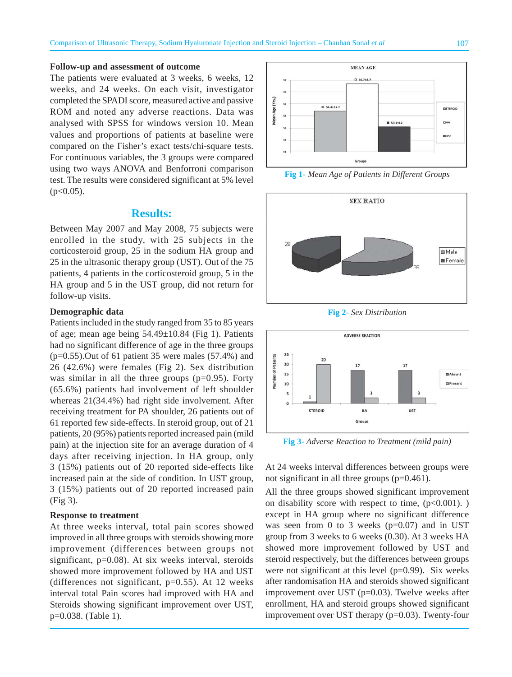#### **Follow-up and assessment of outcome**

The patients were evaluated at 3 weeks, 6 weeks, 12 weeks, and 24 weeks. On each visit, investigator completed the SPADI score, measured active and passive ROM and noted any adverse reactions. Data was analysed with SPSS for windows version 10. Mean values and proportions of patients at baseline were compared on the Fisher's exact tests/chi-square tests. For continuous variables, the 3 groups were compared using two ways ANOVA and Benforroni comparison test. The results were considered significant at 5% level  $(p<0.05)$ .

#### **Results:**

Between May 2007 and May 2008, 75 subjects were enrolled in the study, with 25 subjects in the corticosteroid group, 25 in the sodium HA group and 25 in the ultrasonic therapy group (UST). Out of the 75 patients, 4 patients in the corticosteroid group, 5 in the HA group and 5 in the UST group, did not return for follow-up visits.

#### **Demographic data**

Patients included in the study ranged from 35 to 85 years of age; mean age being 54.49±10.84 (Fig 1). Patients had no significant difference of age in the three groups  $(p=0.55)$ . Out of 61 patient 35 were males  $(57.4\%)$  and 26 (42.6%) were females (Fig 2). Sex distribution was similar in all the three groups  $(p=0.95)$ . Forty (65.6%) patients had involvement of left shoulder whereas 21(34.4%) had right side involvement. After receiving treatment for PA shoulder, 26 patients out of 61 reported few side-effects. In steroid group, out of 21 patients, 20 (95%) patients reported increased pain (mild pain) at the injection site for an average duration of 4 days after receiving injection. In HA group, only 3 (15%) patients out of 20 reported side-effects like increased pain at the side of condition. In UST group, 3 (15%) patients out of 20 reported increased pain (Fig 3).

#### **Response to treatment**

At three weeks interval, total pain scores showed improved in all three groups with steroids showing more improvement (differences between groups not significant, p=0.08). At six weeks interval, steroids showed more improvement followed by HA and UST (differences not significant,  $p=0.55$ ). At 12 weeks interval total Pain scores had improved with HA and Steroids showing significant improvement over UST, p=0.038. (Table 1).



**Fig 1-** *Mean Age of Patients in Different Groups*



**Fig 2-** *Sex Distribution*



**Fig 3-** *Adverse Reaction to Treatment (mild pain)*

At 24 weeks interval differences between groups were not significant in all three groups (p=0.461).

All the three groups showed significant improvement on disability score with respect to time,  $(p<0.001)$ . except in HA group where no significant difference was seen from 0 to 3 weeks  $(p=0.07)$  and in UST group from 3 weeks to 6 weeks (0.30). At 3 weeks HA showed more improvement followed by UST and steroid respectively, but the differences between groups were not significant at this level  $(p=0.99)$ . Six weeks after randomisation HA and steroids showed significant improvement over UST (p=0.03). Twelve weeks after enrollment, HA and steroid groups showed significant improvement over UST therapy (p=0.03). Twenty-four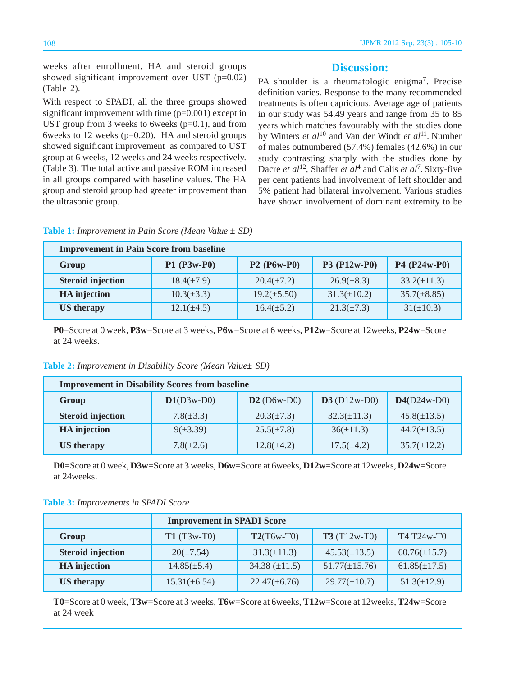weeks after enrollment, HA and steroid groups showed significant improvement over UST (p=0.02) (Table 2).

With respect to SPADI, all the three groups showed significant improvement with time (p=0.001) except in UST group from 3 weeks to 6weeks  $(p=0.1)$ , and from 6weeks to 12 weeks ( $p=0.20$ ). HA and steroid groups showed significant improvement as compared to UST group at 6 weeks, 12 weeks and 24 weeks respectively. (Table 3). The total active and passive ROM increased in all groups compared with baseline values. The HA group and steroid group had greater improvement than the ultrasonic group.

#### **Discussion:**

PA shoulder is a rheumatologic enigma<sup>7</sup>. Precise definition varies. Response to the many recommended treatments is often capricious. Average age of patients in our study was 54.49 years and range from 35 to 85 years which matches favourably with the studies done by Winters *et al*10 and Van der Windt *et al*11. Number of males outnumbered (57.4%) females (42.6%) in our study contrasting sharply with the studies done by Dacre *et al*<sup>12</sup>, Shaffer *et al*<sup>4</sup> and Calis *et al*<sup>7</sup>. Sixty-five per cent patients had involvement of left shoulder and 5% patient had bilateral involvement. Various studies have shown involvement of dominant extremity to be

| <b>Table 1:</b> Improvement in Pain Score (Mean Value $\pm$ SD) |  |  |  |  |  |  |
|-----------------------------------------------------------------|--|--|--|--|--|--|
|-----------------------------------------------------------------|--|--|--|--|--|--|

| <b>Improvement in Pain Score from baseline</b> |                 |                  |                  |                  |  |  |  |
|------------------------------------------------|-----------------|------------------|------------------|------------------|--|--|--|
| Group                                          | $P1(P3w-P0)$    | $P2(P6w-P0)$     | P3 (P12w-P0)     | P4 (P24w-P0)     |  |  |  |
| <b>Steroid injection</b>                       | $18.4(\pm 7.9)$ | $20.4(\pm 7.2)$  | $26.9(\pm 8.3)$  | $33.2(\pm 11.3)$ |  |  |  |
| <b>HA</b> injection                            | $10.3(\pm 3.3)$ | $19.2(\pm 5.50)$ | $31.3(\pm 10.2)$ | $35.7(\pm 8.85)$ |  |  |  |
| <b>US</b> therapy                              | $12.1(\pm 4.5)$ | $16.4(\pm 5.2)$  | $21.3(\pm 7.3)$  | $31(\pm 10.3)$   |  |  |  |

**P0**=Score at 0 week, **P3w**=Score at 3 weeks, **P6w**=Score at 6 weeks, **P12w**=Score at 12weeks, **P24w**=Score at 24 weeks.

| <b>Table 2:</b> Improvement in Disability Score (Mean Value ± SD) |  |  |  |  |  |  |
|-------------------------------------------------------------------|--|--|--|--|--|--|
|-------------------------------------------------------------------|--|--|--|--|--|--|

| <b>Improvement in Disability Scores from baseline</b> |                |                 |                  |                  |  |  |  |
|-------------------------------------------------------|----------------|-----------------|------------------|------------------|--|--|--|
| Group                                                 | $D1(D3w-D0)$   | $D2(D6w-D0)$    | $D3(D12w-D0)$    | $D4(D24w-D0)$    |  |  |  |
| <b>Steroid injection</b>                              | $7.8(\pm 3.3)$ | $20.3(\pm 7.3)$ | $32.3(\pm 11.3)$ | $45.8(\pm 13.5)$ |  |  |  |
| <b>HA</b> injection                                   | $9(\pm 3.39)$  | $25.5(\pm 7.8)$ | $36(\pm 11.3)$   | $44.7(\pm 13.5)$ |  |  |  |
| <b>US</b> therapy                                     | $7.8(\pm 2.6)$ | $12.8(\pm 4.2)$ | $17.5(\pm 4.2)$  | $35.7(\pm 12.2)$ |  |  |  |

**D0**=Score at 0 week, **D3w**=Score at 3 weeks, **D6w**=Score at 6weeks, **D12w**=Score at 12weeks, **D24w**=Score at 24weeks.

| <b>Table 3:</b> Improvements in SPADI Score |  |  |  |
|---------------------------------------------|--|--|--|
|---------------------------------------------|--|--|--|

|                          | <b>Improvement in SPADI Score</b> |                    |                    |                   |  |  |
|--------------------------|-----------------------------------|--------------------|--------------------|-------------------|--|--|
| Group                    | $T1(T3w-T0)$                      | $T2(T6w-T0)$       | $T3(T12w-T0)$      | <b>T4</b> T24w-T0 |  |  |
| <b>Steroid injection</b> | $20(\pm 7.54)$                    | $31.3(\pm 11.3)$   | $45.53(\pm 13.5)$  | $60.76(\pm 15.7)$ |  |  |
| <b>HA</b> injection      | $14.85(\pm 5.4)$                  | 34.38 $(\pm 11.5)$ | $51.77(\pm 15.76)$ | $61.85(\pm 17.5)$ |  |  |
| <b>US</b> therapy        | $15.31(\pm 6.54)$                 | $22.47(\pm 6.76)$  | $29.77(\pm 10.7)$  | $51.3(\pm 12.9)$  |  |  |

**T0**=Score at 0 week, **T3w**=Score at 3 weeks, **T6w**=Score at 6weeks, **T12w**=Score at 12weeks, **T24w**=Score at 24 week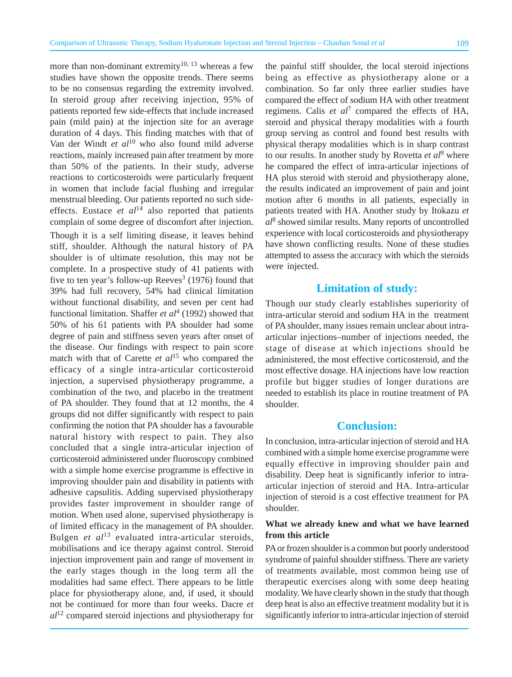more than non-dominant extremity<sup>10, 13</sup> whereas a few studies have shown the opposite trends. There seems to be no consensus regarding the extremity involved. In steroid group after receiving injection, 95% of patients reported few side-effects that include increased pain (mild pain) at the injection site for an average duration of 4 days. This finding matches with that of Van der Windt *et al*10 who also found mild adverse reactions, mainly increased pain after treatment by more than 50% of the patients. In their study, adverse reactions to corticosteroids were particularly frequent in women that include facial flushing and irregular menstrual bleeding. Our patients reported no such sideeffects. Eustace  $et \text{ } al^{14}$  also reported that patients complain of some degree of discomfort after injection. Though it is a self limiting disease, it leaves behind stiff, shoulder. Although the natural history of PA shoulder is of ultimate resolution, this may not be complete. In a prospective study of 41 patients with five to ten year's follow-up Reeves<sup>3</sup> (1976) found that 39% had full recovery, 54% had clinical limitation without functional disability, and seven per cent had functional limitation. Shaffer *et al*<sup>4</sup> (1992) showed that 50% of his 61 patients with PA shoulder had some degree of pain and stiffness seven years after onset of the disease. Our findings with respect to pain score match with that of Carette *et al*15 who compared the efficacy of a single intra-articular corticosteroid injection, a supervised physiotherapy programme, a combination of the two, and placebo in the treatment of PA shoulder. They found that at 12 months, the 4 groups did not differ significantly with respect to pain confirming the notion that PA shoulder has a favourable natural history with respect to pain. They also concluded that a single intra-articular injection of corticosteroid administered under fluoroscopy combined with a simple home exercise programme is effective in improving shoulder pain and disability in patients with adhesive capsulitis. Adding supervised physiotherapy provides faster improvement in shoulder range of motion. When used alone, supervised physiotherapy is of limited efficacy in the management of PA shoulder. Bulgen *et al*<sup>13</sup> evaluated intra-articular steroids, mobilisations and ice therapy against control. Steroid injection improvement pain and range of movement in the early stages though in the long term all the modalities had same effect. There appears to be little place for physiotherapy alone, and, if used, it should not be continued for more than four weeks. Dacre *et al*12 compared steroid injections and physiotherapy for

the painful stiff shoulder, the local steroid injections being as effective as physiotherapy alone or a combination. So far only three earlier studies have compared the effect of sodium HA with other treatment regimens. Calis *et al*<sup>7</sup> compared the effects of HA, steroid and physical therapy modalities with a fourth group serving as control and found best results with physical therapy modalities which is in sharp contrast to our results. In another study by Rovetta *et al*<sup>9</sup> where he compared the effect of intra-articular injections of HA plus steroid with steroid and physiotherapy alone, the results indicated an improvement of pain and joint motion after 6 months in all patients, especially in patients treated with HA. Another study by Itokazu *et al*<sup>8</sup> showed similar results. Many reports of uncontrolled experience with local corticosteroids and physiotherapy have shown conflicting results. None of these studies attempted to assess the accuracy with which the steroids were injected.

#### **Limitation of study:**

Though our study clearly establishes superiority of intra-articular steroid and sodium HA in the treatment of PA shoulder, many issues remain unclear about intraarticular injections–number of injections needed, the stage of disease at which injections should be administered, the most effective corticosteroid, and the most effective dosage. HA injections have low reaction profile but bigger studies of longer durations are needed to establish its place in routine treatment of PA shoulder.

#### **Conclusion:**

In conclusion, intra-articular injection of steroid and HA combined with a simple home exercise programme were equally effective in improving shoulder pain and disability. Deep heat is significantly inferior to intraarticular injection of steroid and HA. Intra-articular injection of steroid is a cost effective treatment for PA shoulder.

#### **What we already knew and what we have learned from this article**

PA or frozen shoulder is a common but poorly understood syndrome of painful shoulder stiffness. There are variety of treatments available, most common being use of therapeutic exercises along with some deep heating modality. We have clearly shown in the study that though deep heat is also an effective treatment modality but it is significantly inferior to intra-articular injection of steroid